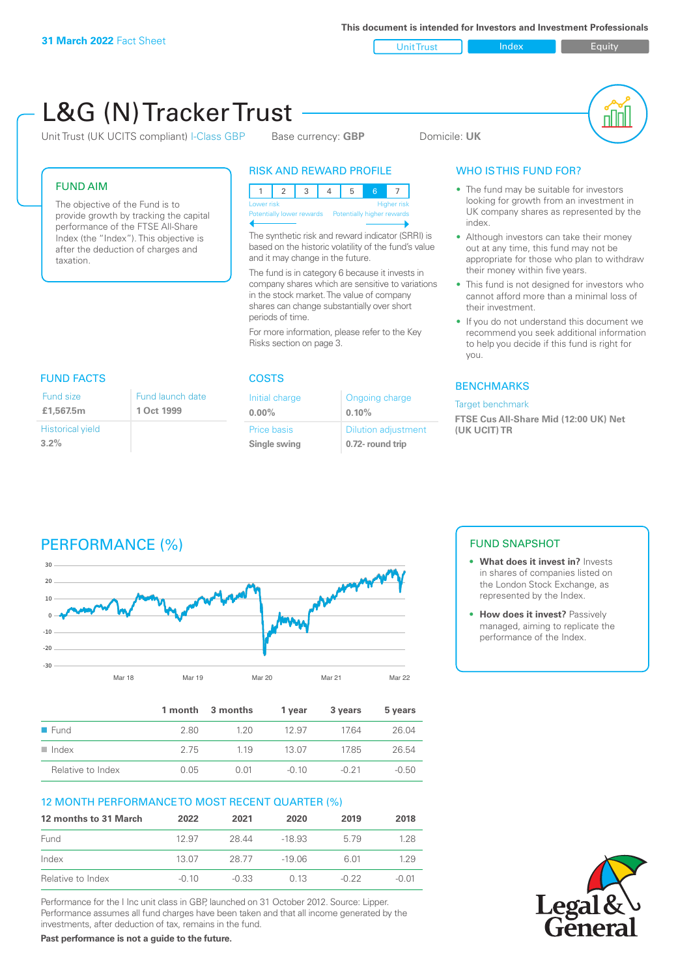Unit Trust Index **Index** Equity

#### L&G (N) Tracker Trust nN Unit Trust (UK UCITS compliant) I-Class GBP Base currency: **GBP** Domicile: UK RISK AND REWARD PROFILE WHO IS THIS FUND FOR? FUND AIM • The fund may be suitable for investors 12345 6 7 looking for growth from an investment in The objective of the Fund is to Lower risk and the contract of the Higher risk UK company shares as represented by the provide growth by tracking the capital Potentially lower rewards Potentially higher rewards index. performance of the FTSE All-Share The synthetic risk and reward indicator (SRRI) is Index (the "Index"). This objective is • Although investors can take their money based on the historic volatility of the fund's value out at any time, this fund may not be after the deduction of charges and and it may change in the future. appropriate for those who plan to withdraw taxation. their money within five years. The fund is in category 6 because it invests in company shares which are sensitive to variations • This fund is not designed for investors who in the stock market. The value of company cannot afford more than a minimal loss of shares can change substantially over short their investment. periods of time. If you do not understand this document we recommend you seek additional information For more information, please refer to the Key Risks section on page 3. to help you decide if this fund is right for you. FUND FACTS COSTS BENCHMARKS Fund size Fund launch date Initial charge Ongoing charge Target benchmark **£1,567.5m1 Oct 1999 0.00% 0.10% FTSE Cus All-Share Mid (12:00 UK) Net**  Dilution adjustment Historical yield Price basis **(UK UCIT) TR 3.2% Single swing 0.72- round trip** PERFORMANCE (%) FUND SNAPSHOT **• What does it invest in?** Invests **30** in shares of companies listed on **20** the London Stock Exchange, as represented by the Index. **10 • How does it invest?** Passively **0** managed, aiming to replicate the **-10** performance of the Index. **-20 -30** Mar 18 Mar 19 Mar 20 Mar 21 Mar 22 **1 month 3 months 1 year 3 years 5 years** ■ Fund 2.80 1.20 12.97 17.64 26.04 n Index 2.75 1.19 13.07 17.85 26.54 Relative to Index  $0.05$  0.01  $-0.10$   $-0.21$   $-0.50$ 12 MONTH PERFORMANCE TO MOST RECENT QUARTER (%) **12 months to 31 March 2022 2021 2020 2019 2018** Fund 12.97 28.44 -18.93 5.79 1.28 Index 13.07 28.77 -19.06 6.01 1.29 Relative to Index -0.10 -0.33 0.13 -0.22 -0.01

Performance for the I Inc unit class in GBP, launched on 31 October 2012. Source: Lipper. Performance assumes all fund charges have been taken and that all income generated by the investments, after deduction of tax, remains in the fund.

**Past performance is not a guide to the future.**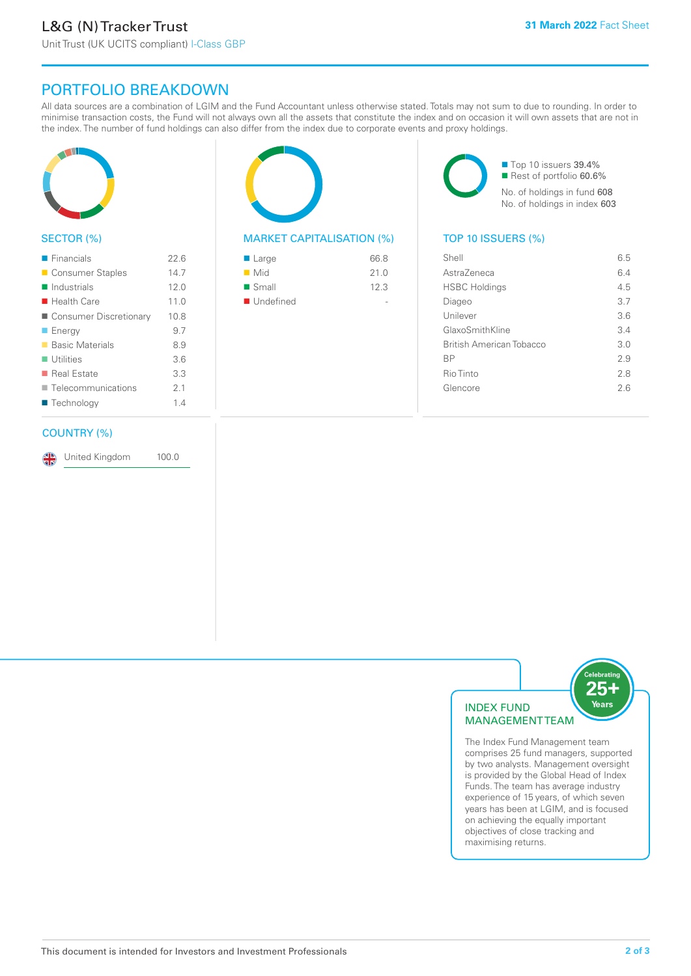# PORTFOLIO BREAKDOWN

All data sources are a combination of LGIM and the Fund Accountant unless otherwise stated. Totals may not sum to due to rounding. In order to minimise transaction costs, the Fund will not always own all the assets that constitute the index and on occasion it will own assets that are not in the index. The number of fund holdings can also differ from the index due to corporate events and proxy holdings.



#### SECTOR (%)

| $\blacksquare$ Financials  | 226  |
|----------------------------|------|
| ■ Consumer Staples         | 14.7 |
| $\blacksquare$ Industrials | 12.0 |
| $\blacksquare$ Health Care | 11.0 |
| ■ Consumer Discretionary   | 10.8 |
| $\blacksquare$ Energy      | 9.7  |
| ■ Basic Materials          | 8.9  |
| $\blacksquare$ Utilities   | 3.6  |
| ■ Real Estate              | 3.3  |
| Telecommunications         | 21   |
| ■ Technology               | 14   |
|                            |      |

#### COUNTRY (%)

United Kingdom 100.0

## MARKET CAPITALISATION (%) TOP 10 ISSUERS (%)

| ■ Large                  | 66.8 |
|--------------------------|------|
| $\blacksquare$ Mid       | 21.0 |
| $\blacksquare$ Small     | 12.3 |
| $\blacksquare$ Undefined |      |

■ Top 10 issuers 39.4% Rest of portfolio 60.6% No. of holdings in fund 608 No. of holdings in index 603

| Shell                    | 6.5 |
|--------------------------|-----|
| AstraZeneca              | 6.4 |
| <b>HSBC Holdings</b>     | 4.5 |
| Diageo                   | 3.7 |
| Unilever                 | 3.6 |
| GlaxoSmithKline          | 3.4 |
| British American Tobacco | 3.0 |
| <b>BP</b>                | 29  |
| Rio Tinto                | 2.8 |
| Glencore                 | 26  |
|                          |     |



The Index Fund Management team comprises 25 fund managers, supported by two analysts. Management oversight is provided by the Global Head of Index Funds. The team has average industry experience of 15 years, of which seven years has been at LGIM, and is focused on achieving the equally important objectives of close tracking and maximising returns.